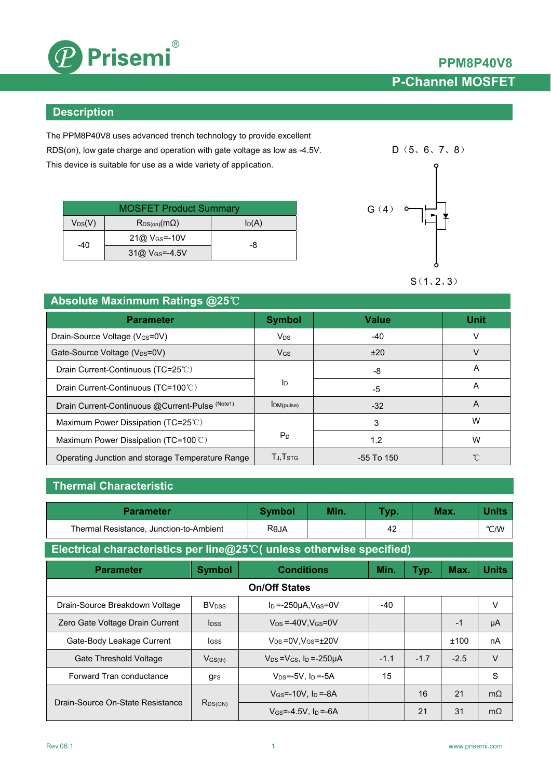

# **P-Channel MOSFET**

### **Description**

The PPM8P40V8 uses advanced trench technology to provide excellent RDS(on), low gate charge and operation with gate voltage as low as -4.5V. This device is suitable for use as a wide variety of application.

| <b>MOSFET Product Summary</b> |                              |          |  |  |  |
|-------------------------------|------------------------------|----------|--|--|--|
| $V_{DS}(V)$                   | $R_{DS(on)}(m\Omega)$        | $I_D(A)$ |  |  |  |
| $-40$                         | $21@$ V <sub>GS</sub> =-10V  | -8       |  |  |  |
|                               | $31@$ V <sub>GS</sub> =-4.5V |          |  |  |  |



S(1、2、3)

### **Absolute Maxinmum Ratings @25**℃

| <b>Parameter</b>                                 | <b>Symbol</b>     | <b>Value</b> | Unit              |
|--------------------------------------------------|-------------------|--------------|-------------------|
| Drain-Source Voltage (V <sub>GS</sub> =0V)       | $V_{DS}$          | -40          | V                 |
| Gate-Source Voltage (V <sub>DS</sub> =0V)        | $V_{GS}$          | ±20          |                   |
| Drain Current-Continuous (TC=25°C)               |                   | -8           | A                 |
| Drain Current-Continuous (TC=100°C)              | ld.               | -5           | A                 |
| Drain Current-Continuous @Current-Pulse (Note1)  | IM(pulse)         | $-32$        | $\overline{A}$    |
| Maximum Power Dissipation ( $TC=25^{\circ}$ )    |                   | 3            | W                 |
| Maximum Power Dissipation (TC=100°C)             | P <sub>D</sub>    | 1.2          | W                 |
| Operating Junction and storage Temperature Range | $T_J$ , $T_{STG}$ | $-55$ To 150 | $^{\circ}$ $\cap$ |

### **Thermal Characteristic**

| <b>Parameter</b>                        | <b>Symbol</b>                                                                   | Min.                                   | Typ. |        | Max.   | <b>Units</b> |              |
|-----------------------------------------|---------------------------------------------------------------------------------|----------------------------------------|------|--------|--------|--------------|--------------|
| Thermal Resistance, Junction-to-Ambient |                                                                                 | Reja                                   |      | 42     |        |              | °C/W         |
|                                         | Electrical characteristics per line@25 $\degree$ C( unless otherwise specified) |                                        |      |        |        |              |              |
| <b>Parameter</b>                        | <b>Symbol</b>                                                                   | <b>Conditions</b>                      |      | Min.   | Typ.   | Max.         | <b>Units</b> |
| <b>On/Off States</b>                    |                                                                                 |                                        |      |        |        |              |              |
| Drain-Source Breakdown Voltage          | <b>BV</b> <sub>DSS</sub>                                                        | $I_D = -250\mu A$ , $V_{GS} = 0V$      |      | -40    |        |              | V            |
| Zero Gate Voltage Drain Current         | <b>l</b> <sub>DSS</sub>                                                         | $V_{DS} = -40V$ . $V_{GS} = 0V$        |      |        |        | $-1$         | μA           |
| Gate-Body Leakage Current               | lgss                                                                            | $V_{DS} = 0V$ , $V_{GS} = \pm 20V$     |      |        |        | ±100         | nA           |
| Gate Threshold Voltage                  | $V$ <sub>GS</sub> $(th)$                                                        | $V_{DS} = V_{GS}$ , $I_D = -250 \mu A$ |      | $-1.1$ | $-1.7$ | $-2.5$       | $\vee$       |
| Forward Tran conductance                | <b>gFS</b>                                                                      | $V_{DS} = -5V$ , $I_D = -5A$           |      | 15     |        |              | S            |
| Drain-Source On-State Resistance        |                                                                                 | $V$ <sub>GS</sub> =-10V, $I_D$ =-8A    |      |        | 16     | 21           | $m\Omega$    |
|                                         | $R_{DS(ON)}$                                                                    | $V$ <sub>GS</sub> =-4.5V, $I_D$ =-6A   |      |        | 21     | 31           | $m\Omega$    |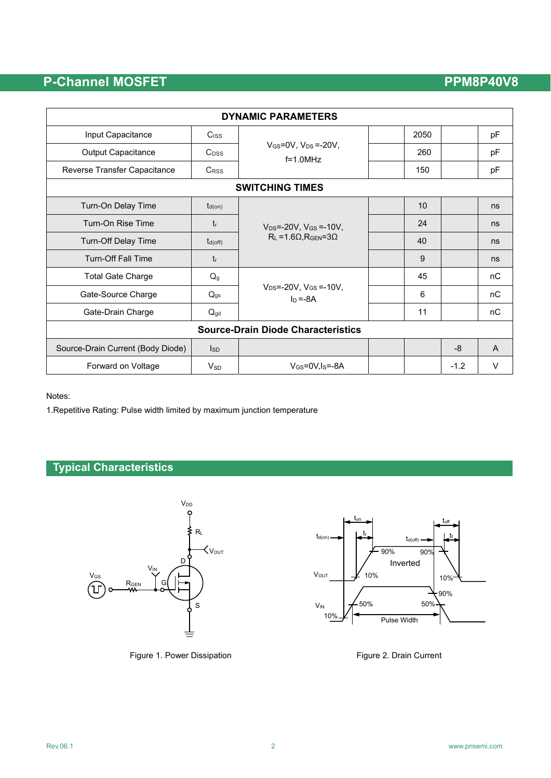| <b>DYNAMIC PARAMETERS</b>                 |                    |                                                                               |  |      |        |                |  |  |
|-------------------------------------------|--------------------|-------------------------------------------------------------------------------|--|------|--------|----------------|--|--|
| Input Capacitance                         | $C$ <sub>ISS</sub> | $V_{GS} = 0V$ , $V_{DS} = -20V$ ,<br>$f=1.0$ MHz                              |  | 2050 |        | pF             |  |  |
| Output Capacitance                        | $C_{DSS}$          |                                                                               |  | 260  |        | pF             |  |  |
| Reverse Transfer Capacitance              | <b>CRSS</b>        |                                                                               |  | 150  |        | pF             |  |  |
| <b>SWITCHING TIMES</b>                    |                    |                                                                               |  |      |        |                |  |  |
| Turn-On Delay Time                        | $t_{d(on)}$        |                                                                               |  | 10   |        | ns             |  |  |
| Turn-On Rise Time                         | $t_{r}$            | $V_{DS} = -20V$ , $V_{GS} = -10V$ ,<br>$R_L = 1.6 \Omega, R_{GEN} = 3 \Omega$ |  | 24   |        | ns             |  |  |
| <b>Turn-Off Delay Time</b>                | $t_{d(off)}$       |                                                                               |  | 40   |        | ns             |  |  |
| <b>Turn-Off Fall Time</b>                 | $t_{r}$            |                                                                               |  | 9    |        | ns             |  |  |
| <b>Total Gate Charge</b>                  | $Q_g$              |                                                                               |  | 45   |        | nC             |  |  |
| Gate-Source Charge                        | $Q_{gs}$           | $V_{DS} = -20V$ , $V_{GS} = -10V$ ,<br>$In = -8A$                             |  | 6    |        | nC             |  |  |
| Gate-Drain Charge                         | $Q_{gd}$           |                                                                               |  | 11   |        | nC             |  |  |
| <b>Source-Drain Diode Characteristics</b> |                    |                                                                               |  |      |        |                |  |  |
| Source-Drain Current (Body Diode)         | $\mathsf{Iso}$     |                                                                               |  |      | -8     | $\overline{A}$ |  |  |
| Forward on Voltage                        | $V_{SD}$           | $V_{GS} = 0V$ , $I_S = -8A$                                                   |  |      | $-1.2$ | V              |  |  |

Notes:

1.Repetitive Rating: Pulse width limited by maximum junction temperature

## **Typical Characteristics**



Figure 1. Power Dissipation **Figure 2. Drain Current** 

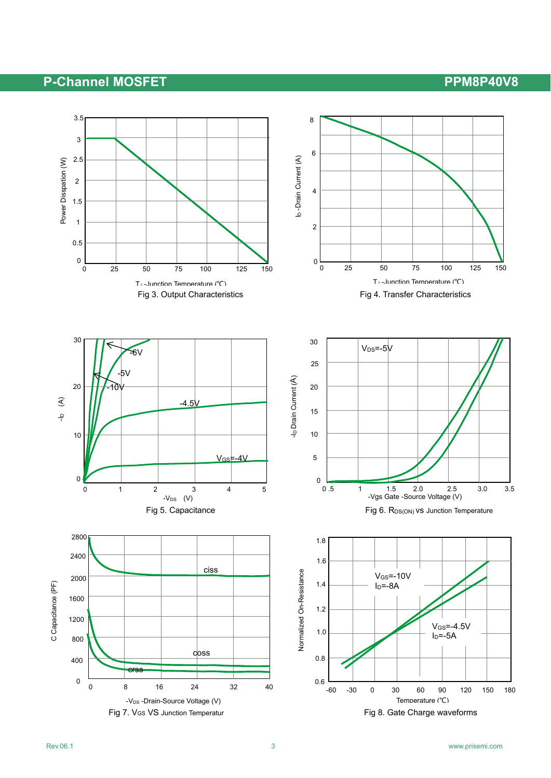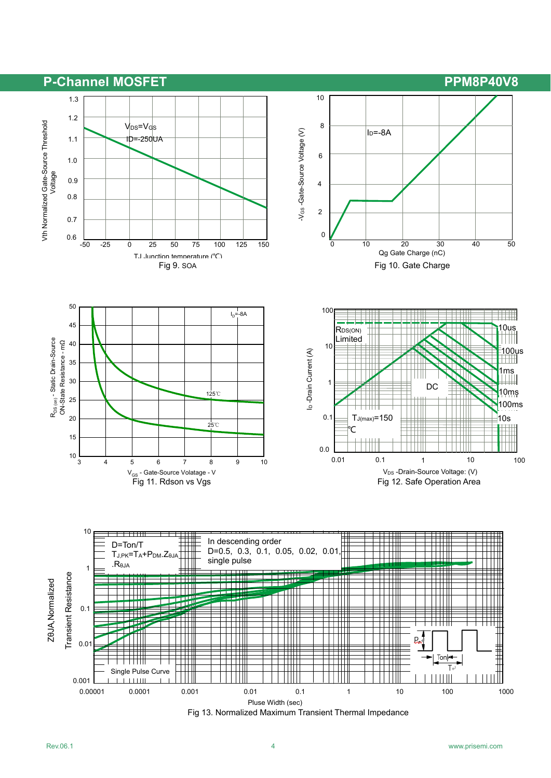### P-Channel MOSFET **PERIODE RELATIONS PPM8P40V8** 10 1.3 1.2 Vth Normalized Gate-Source Threshold /th Normalized Gate-Source Threshold 8  $V_{DS}=V_{GS}$ -V<sub>GS</sub> -Gate-Source Voltage (V) -VGS -Gate-Source Voltage (V)  $I<sub>D</sub>=-8A$  $1D = -250UA$ 1.1 6 1.0 Voltage 0.9 4 0.8 2 0.7

-50 -25 0 25 50 75 100 125 150 TJ Junction temperature (℃)



Fig 9. SOA Fig 10. Gate Charge

0

Qg Gate Charge (nC)

0 10 20 30 40 50



Fig 13. Normalized Maximum Transient Thermal Impedance

0.6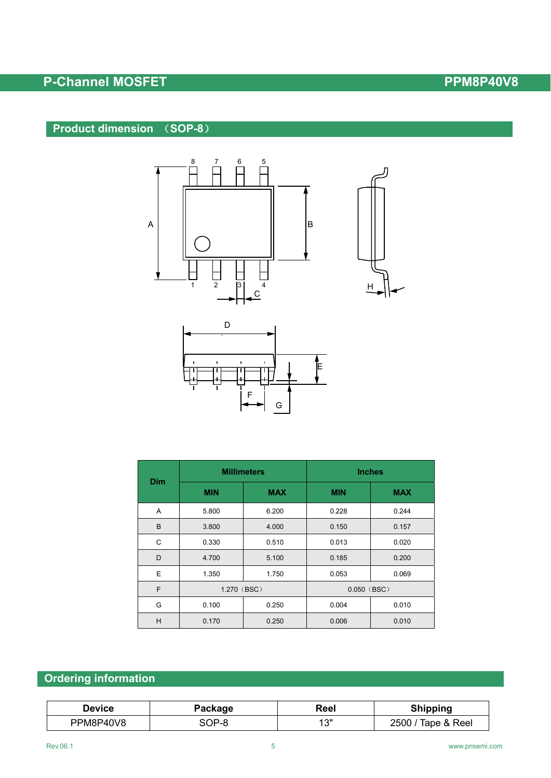### **Product dimension** (**SOP-8**)







|            |             | <b>Millimeters</b> | <b>Inches</b> |            |  |
|------------|-------------|--------------------|---------------|------------|--|
| <b>Dim</b> | <b>MIN</b>  | <b>MAX</b>         | <b>MIN</b>    | <b>MAX</b> |  |
| A          | 5.800       | 6.200              | 0.228         | 0.244      |  |
| B          | 3.800       | 4.000              | 0.150         | 0.157      |  |
| C          | 0.330       | 0.510              | 0.013         | 0.020      |  |
| D          | 4.700       | 5.100              | 0.185         | 0.200      |  |
| E          | 1.350       | 1.750              | 0.053         | 0.069      |  |
| F          | 1.270 (BSC) |                    | $0.050$ (BSC) |            |  |
| G          | 0.100       | 0.250              | 0.004         | 0.010      |  |
| H          | 0.170       | 0.250              | 0.006         | 0.010      |  |

### **Ordering information**

| <b>Device</b> | Package | Reel | <b>Shipping</b>         |
|---------------|---------|------|-------------------------|
| PPM8P40V8     | 3OP-8   | 13"  | 2500 / T<br>Tape & Reel |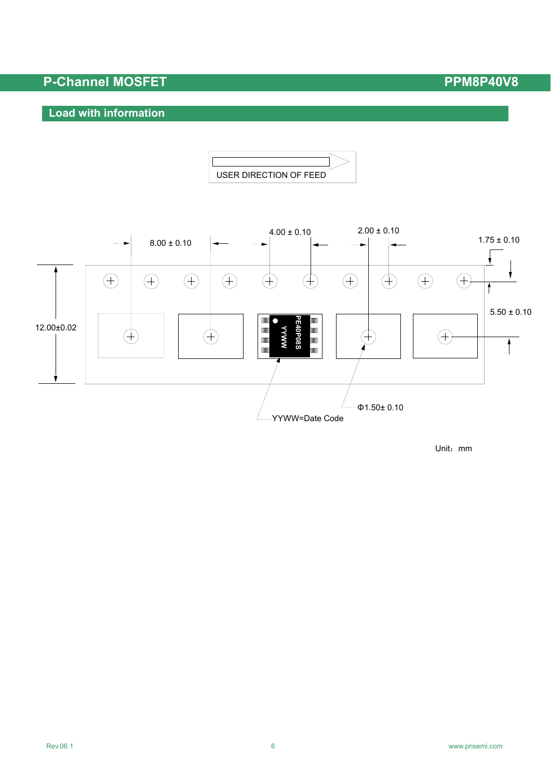### **Load with information**





Unit: mm